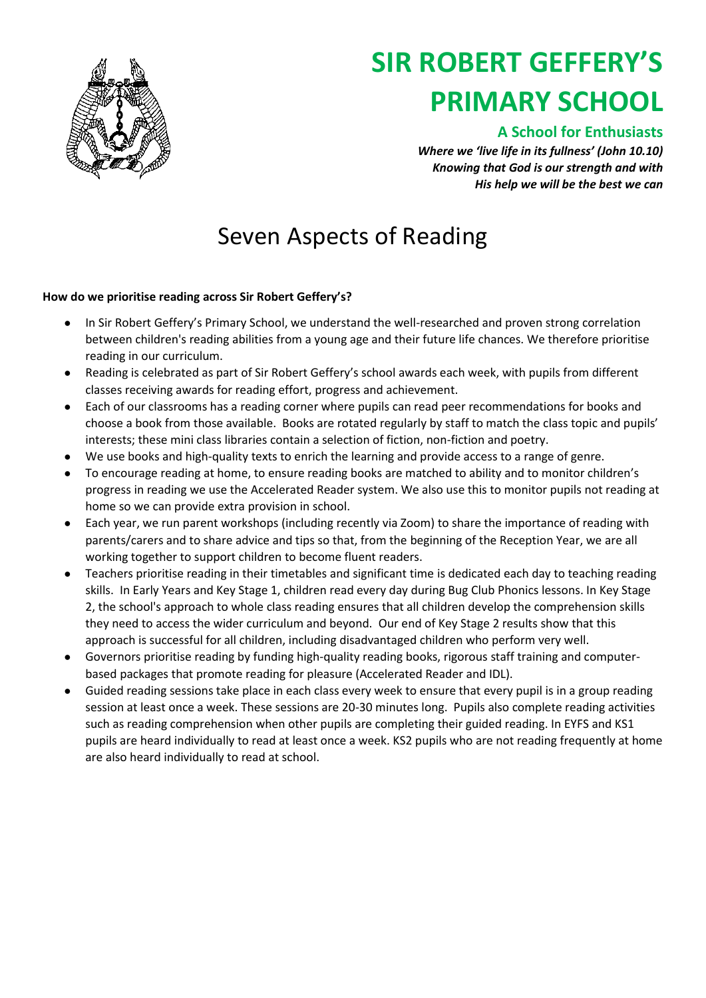

# **SIR ROBERT GEFFERY'S PRIMARY SCHOOL**

### **A School for Enthusiasts**

*Where we 'live life in its fullness' (John 10.10) Knowing that God is our strength and with His help we will be the best we can*

## Seven Aspects of Reading

#### **How do we prioritise reading across Sir Robert Geffery's?**

- In Sir Robert Geffery's Primary School, we understand the well-researched and proven strong correlation between children's reading abilities from a young age and their future life chances. We therefore prioritise reading in our curriculum.
- Reading is celebrated as part of Sir Robert Geffery's school awards each week, with pupils from different classes receiving awards for reading effort, progress and achievement.
- Each of our classrooms has a reading corner where pupils can read peer recommendations for books and choose a book from those available. Books are rotated regularly by staff to match the class topic and pupils' interests; these mini class libraries contain a selection of fiction, non-fiction and poetry.
- We use books and high-quality texts to enrich the learning and provide access to a range of genre.
- To encourage reading at home, to ensure reading books are matched to ability and to monitor children's progress in reading we use the Accelerated Reader system. We also use this to monitor pupils not reading at home so we can provide extra provision in school.
- Each year, we run parent workshops (including recently via Zoom) to share the importance of reading with parents/carers and to share advice and tips so that, from the beginning of the Reception Year, we are all working together to support children to become fluent readers.
- Teachers prioritise reading in their timetables and significant time is dedicated each day to teaching reading skills. In Early Years and Key Stage 1, children read every day during Bug Club Phonics lessons. In Key Stage 2, the school's approach to whole class reading ensures that all children develop the comprehension skills they need to access the wider curriculum and beyond. Our end of Key Stage 2 results show that this approach is successful for all children, including disadvantaged children who perform very well.
- Governors prioritise reading by funding high-quality reading books, rigorous staff training and computerbased packages that promote reading for pleasure (Accelerated Reader and IDL).
- Guided reading sessions take place in each class every week to ensure that every pupil is in a group reading session at least once a week. These sessions are 20-30 minutes long. Pupils also complete reading activities such as reading comprehension when other pupils are completing their guided reading. In EYFS and KS1 pupils are heard individually to read at least once a week. KS2 pupils who are not reading frequently at home are also heard individually to read at school.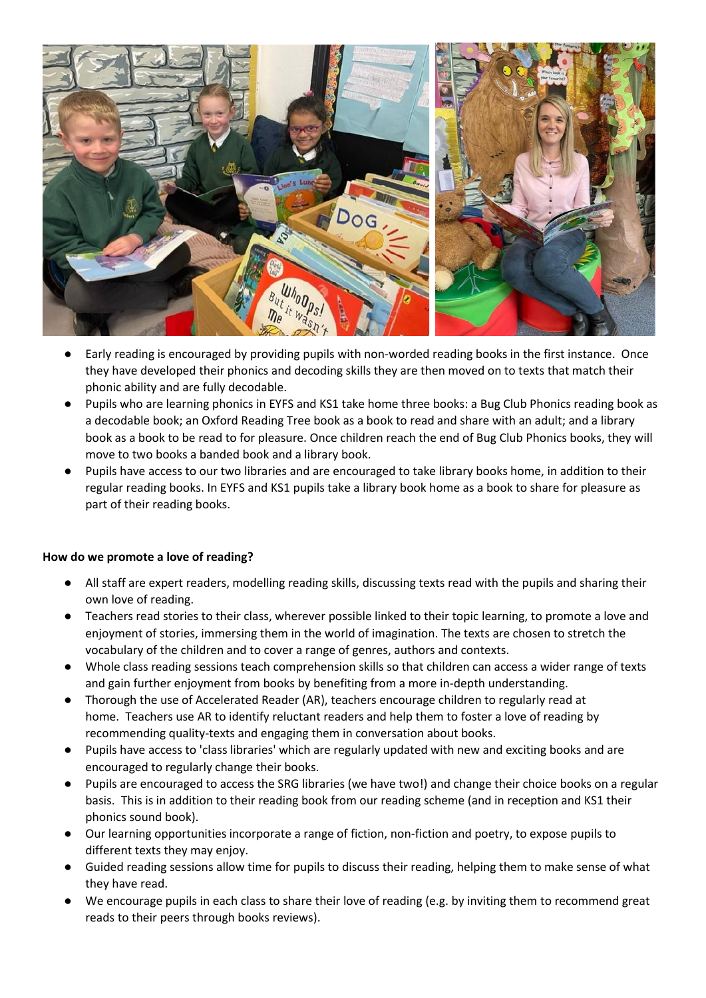

- Early reading is encouraged by providing pupils with non-worded reading books in the first instance. Once they have developed their phonics and decoding skills they are then moved on to texts that match their phonic ability and are fully decodable.
- Pupils who are learning phonics in EYFS and KS1 take home three books: a Bug Club Phonics reading book as a decodable book; an Oxford Reading Tree book as a book to read and share with an adult; and a library book as a book to be read to for pleasure. Once children reach the end of Bug Club Phonics books, they will move to two books a banded book and a library book.
- Pupils have access to our two libraries and are encouraged to take library books home, in addition to their regular reading books. In EYFS and KS1 pupils take a library book home as a book to share for pleasure as part of their reading books.

#### **How do we promote a love of reading?**

- All staff are expert readers, modelling reading skills, discussing texts read with the pupils and sharing their own love of reading.
- Teachers read stories to their class, wherever possible linked to their topic learning, to promote a love and enjoyment of stories, immersing them in the world of imagination. The texts are chosen to stretch the vocabulary of the children and to cover a range of genres, authors and contexts.
- Whole class reading sessions teach comprehension skills so that children can access a wider range of texts and gain further enjoyment from books by benefiting from a more in-depth understanding.
- Thorough the use of Accelerated Reader (AR), teachers encourage children to regularly read at home. Teachers use AR to identify reluctant readers and help them to foster a love of reading by recommending quality-texts and engaging them in conversation about books.
- Pupils have access to 'class libraries' which are regularly updated with new and exciting books and are encouraged to regularly change their books.
- Pupils are encouraged to access the SRG libraries (we have two!) and change their choice books on a regular basis. This is in addition to their reading book from our reading scheme (and in reception and KS1 their phonics sound book).
- Our learning opportunities incorporate a range of fiction, non-fiction and poetry, to expose pupils to different texts they may enjoy.
- Guided reading sessions allow time for pupils to discuss their reading, helping them to make sense of what they have read.
- We encourage pupils in each class to share their love of reading (e.g. by inviting them to recommend great reads to their peers through books reviews).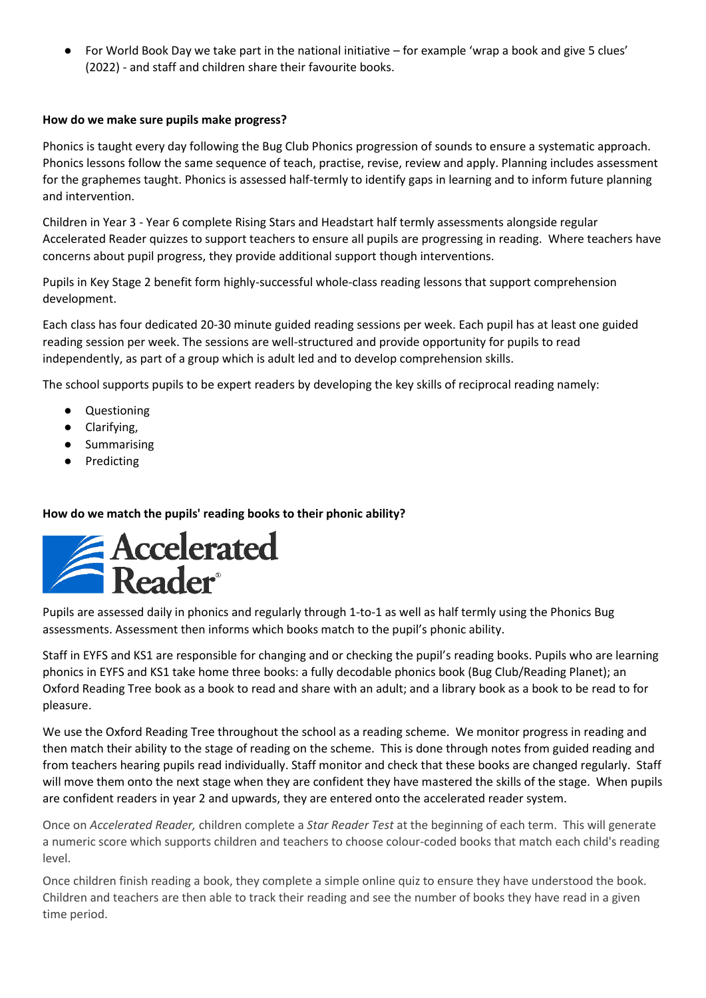● For World Book Day we take part in the national initiative – for example 'wrap a book and give 5 clues' (2022) - and staff and children share their favourite books.

#### **How do we make sure pupils make progress?**

Phonics is taught every day following the Bug Club Phonics progression of sounds to ensure a systematic approach. Phonics lessons follow the same sequence of teach, practise, revise, review and apply. Planning includes assessment for the graphemes taught. Phonics is assessed half-termly to identify gaps in learning and to inform future planning and intervention.

Children in Year 3 - Year 6 complete Rising Stars and Headstart half termly assessments alongside regular Accelerated Reader quizzes to support teachers to ensure all pupils are progressing in reading. Where teachers have concerns about pupil progress, they provide additional support though interventions.

Pupils in Key Stage 2 benefit form highly-successful whole-class reading lessons that support comprehension development.

Each class has four dedicated 20-30 minute guided reading sessions per week. Each pupil has at least one guided reading session per week. The sessions are well-structured and provide opportunity for pupils to read independently, as part of a group which is adult led and to develop comprehension skills.

The school supports pupils to be expert readers by developing the key skills of reciprocal reading namely:

- Questioning
- Clarifying,
- Summarising
- Predicting

#### **How do we match the pupils' reading books to their phonic ability?**



Pupils are assessed daily in phonics and regularly through 1-to-1 as well as half termly using the Phonics Bug assessments. Assessment then informs which books match to the pupil's phonic ability.

Staff in EYFS and KS1 are responsible for changing and or checking the pupil's reading books. Pupils who are learning phonics in EYFS and KS1 take home three books: a fully decodable phonics book (Bug Club/Reading Planet); an Oxford Reading Tree book as a book to read and share with an adult; and a library book as a book to be read to for pleasure.

We use the Oxford Reading Tree throughout the school as a reading scheme. We monitor progress in reading and then match their ability to the stage of reading on the scheme. This is done through notes from guided reading and from teachers hearing pupils read individually. Staff monitor and check that these books are changed regularly. Staff will move them onto the next stage when they are confident they have mastered the skills of the stage. When pupils are confident readers in year 2 and upwards, they are entered onto the accelerated reader system.

Once on *Accelerated Reader,* children complete a *Star Reader Test* at the beginning of each term. This will generate a numeric score which supports children and teachers to choose colour-coded books that match each child's reading level.

Once children finish reading a book, they complete a simple online quiz to ensure they have understood the book. Children and teachers are then able to track their reading and see the number of books they have read in a given time period.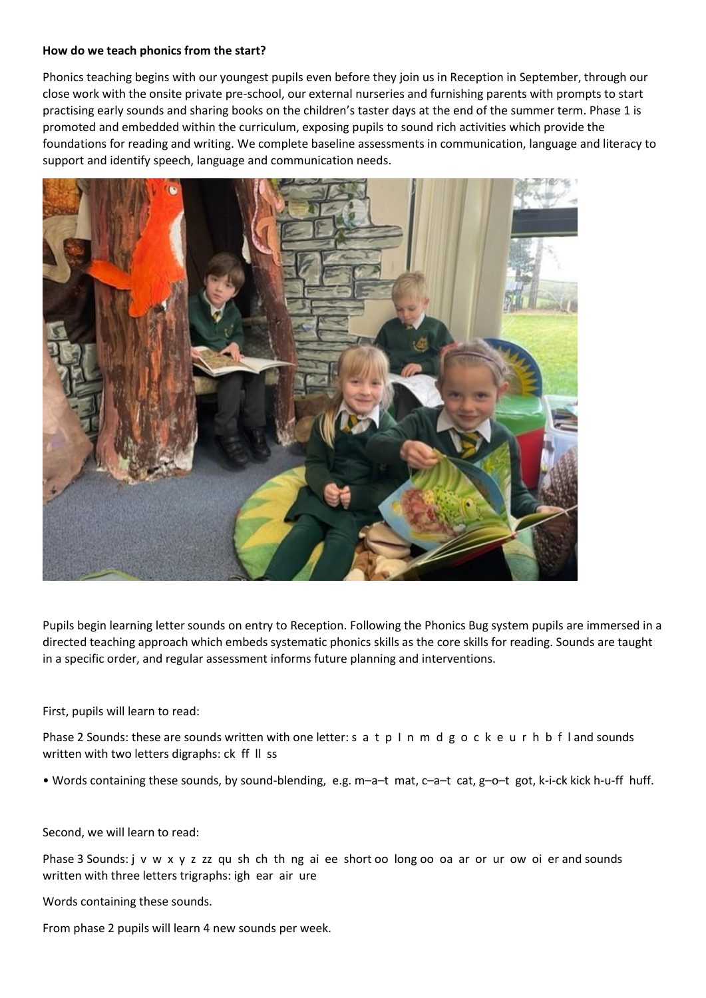#### **How do we teach phonics from the start?**

Phonics teaching begins with our youngest pupils even before they join us in Reception in September, through our close work with the onsite private pre-school, our external nurseries and furnishing parents with prompts to start practising early sounds and sharing books on the children's taster days at the end of the summer term. Phase 1 is promoted and embedded within the curriculum, exposing pupils to sound rich activities which provide the foundations for reading and writing. We complete baseline assessments in communication, language and literacy to support and identify speech, language and communication needs.



Pupils begin learning letter sounds on entry to Reception. Following the Phonics Bug system pupils are immersed in a directed teaching approach which embeds systematic phonics skills as the core skills for reading. Sounds are taught in a specific order, and regular assessment informs future planning and interventions.

#### First, pupils will learn to read:

Phase 2 Sounds: these are sounds written with one letter: s a t p I n m d g o c k e u r h b f I and sounds written with two letters digraphs: ck ff ll ss

• Words containing these sounds, by sound-blending, e.g. m–a–t mat, c–a–t cat, g–o–t got, k-i-ck kick h-u-ff huff.

#### Second, we will learn to read:

Phase 3 Sounds: j v w x y z zz qu sh ch th ng ai ee short oo long oo oa ar or ur ow oi er and sounds written with three letters trigraphs: igh ear air ure

Words containing these sounds.

From phase 2 pupils will learn 4 new sounds per week.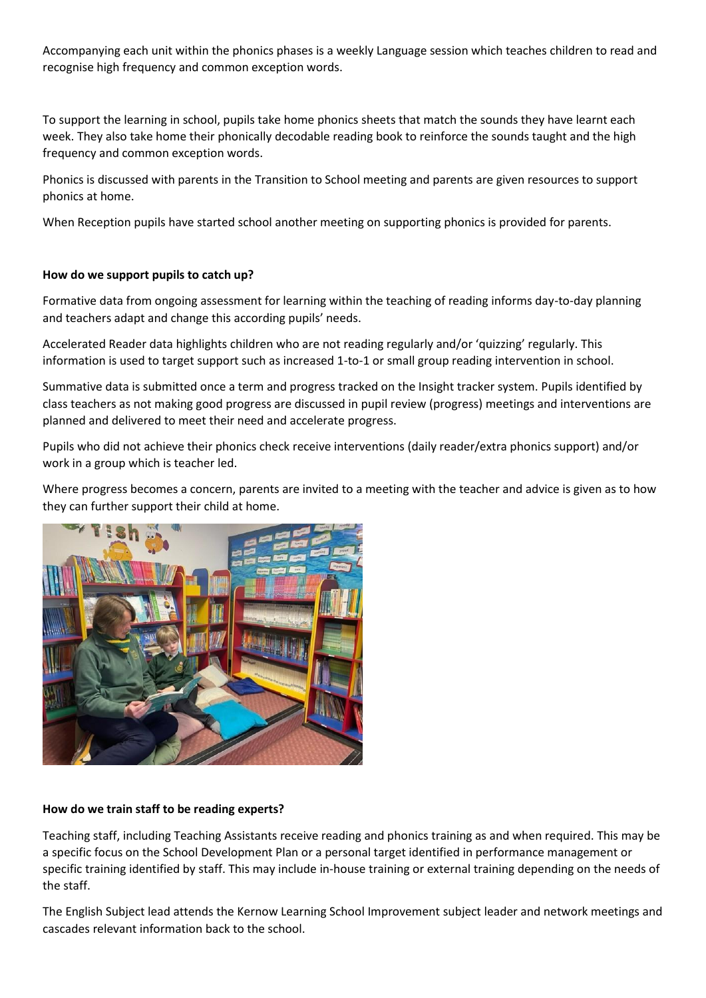Accompanying each unit within the phonics phases is a weekly Language session which teaches children to read and recognise high frequency and common exception words.

To support the learning in school, pupils take home phonics sheets that match the sounds they have learnt each week. They also take home their phonically decodable reading book to reinforce the sounds taught and the high frequency and common exception words.

Phonics is discussed with parents in the Transition to School meeting and parents are given resources to support phonics at home.

When Reception pupils have started school another meeting on supporting phonics is provided for parents.

#### **How do we support pupils to catch up?**

Formative data from ongoing assessment for learning within the teaching of reading informs day-to-day planning and teachers adapt and change this according pupils' needs.

Accelerated Reader data highlights children who are not reading regularly and/or 'quizzing' regularly. This information is used to target support such as increased 1-to-1 or small group reading intervention in school.

Summative data is submitted once a term and progress tracked on the Insight tracker system. Pupils identified by class teachers as not making good progress are discussed in pupil review (progress) meetings and interventions are planned and delivered to meet their need and accelerate progress.

Pupils who did not achieve their phonics check receive interventions (daily reader/extra phonics support) and/or work in a group which is teacher led.

Where progress becomes a concern, parents are invited to a meeting with the teacher and advice is given as to how they can further support their child at home.



#### **How do we train staff to be reading experts?**

Teaching staff, including Teaching Assistants receive reading and phonics training as and when required. This may be a specific focus on the School Development Plan or a personal target identified in performance management or specific training identified by staff. This may include in-house training or external training depending on the needs of the staff.

The English Subject lead attends the Kernow Learning School Improvement subject leader and network meetings and cascades relevant information back to the school.